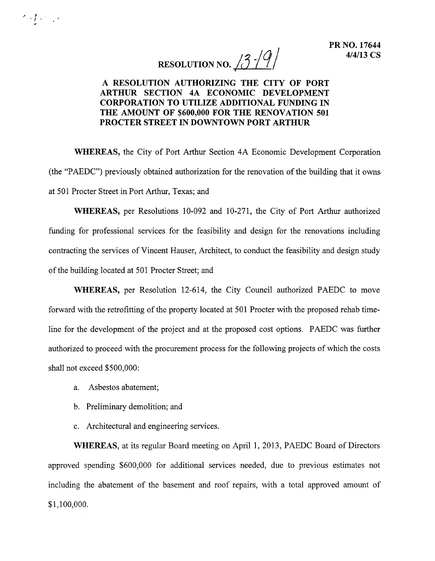RESOLUTION NO.  $13$ - $/9$ 

## A RESOLUTION AUTHORIZING THE CITY OF PORT ARTHUR SECTION 4A ECONOMIC DEVELOPMENT CORPORATION TO UTILIZE ADDITIONAL FUNDING IN THE AMOUNT OF \$600,000 FOR THE RENOVATION 501 PROCTER STREET IN DOWNTOWN PORT ARTHUR

WHEREAS, the City of Port Arthur Section 4A Economic Development Corporation (the "PAEDC") previously obtained authorization for the renovation of the building that it owns. at 501 Procter Street in Port Arthur, Texas; and

WHEREAS, per Resolutions 10-092 and 10-271, the City of Port Arthur authorized funding for professional services for the feasibility and design for the renovations including contracting the services of Vincent Hauser, Architect, to conduct the feasibility and design study of the building located at 501 Procter Street; and

WHEREAS, per Resolution 12-614, the City Council authorized PAEDC to move forward with the retrofitting of the property located at 501 Procter with the proposed rehab timeline for the development of the project and at the proposed cost options. PAEDC was further authorized to proceed with the procurement process for the following projects of which the costs shall not exceed \$500,000:

a. Asbestos abatement;

.~ " . *'I .* .'

- b. Preliminary demolition; and
- c. Architectural and engineering services.

WHEREAS, at its regular Board meeting on April 1,2013, PAEDC Board of Directors approved spending \$600,000 for additional services needed, due to previous estimates not including the abatement of the basement and roof repairs, with a total approved amount of \$1,100,000.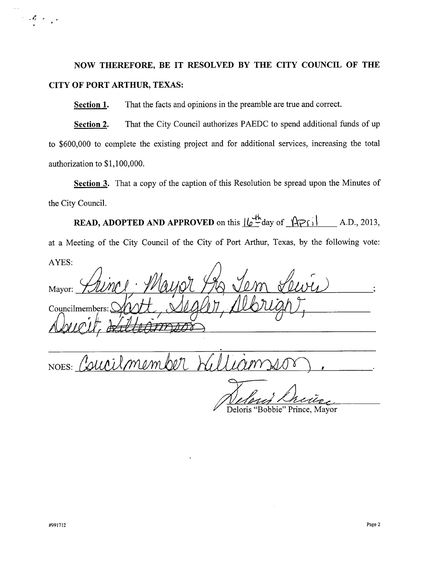## **NOW THEREFORE, BE IT RESOLVED BY THE CITY COUNCIL OF THE CITY OF PORT ARTHUR, TEXAS:**

**Section 1.** That the facts and opinions in the preamble are true and correct.

**Section 2.** That the City Council authorizes PAEDC to spend additional funds of up to \$600,000 to complete the existing project and for additional services, increasing the total authorization to \$1,100,000.

**Section 3.** That a copy of the caption of this Resolution be spread upon the Minutes of the City Council.

**READ, ADOPTED AND APPROVED** on this  $\frac{|\psi^{\text{th}}|}{|\psi^{\text{th}}}$  day of  $\frac{|\psi^{\text{th}}|}{|\psi^{\text{th}}|}$  A.D., 2013 at a Meeting of the City Council of the City of Port Arthur, Texas, by the following vote: AYES:

Mayor: Councilmembers:

NOES: Courilmember

Deloris "Bobbie" Prince, Mayor

 $\mathcal{L}^{\mathcal{L}}(\mathcal{A}_{\mathcal{L}}^{\mathcal{L}}(\mathbf{x})) = \mathcal{L}^{\mathcal{L}}(\mathbf{x})$